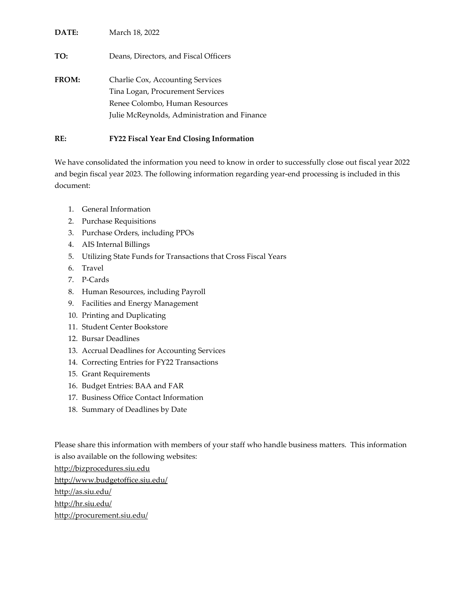| DATE: | March 18, 2022                                                                                         |
|-------|--------------------------------------------------------------------------------------------------------|
| TO:   | Deans, Directors, and Fiscal Officers                                                                  |
| FROM: | Charlie Cox, Accounting Services<br>Tina Logan, Procurement Services<br>Renee Colombo, Human Resources |
|       | Julie McReynolds, Administration and Finance                                                           |

### **RE: FY22 Fiscal Year End Closing Information**

We have consolidated the information you need to know in order to successfully close out fiscal year 2022 and begin fiscal year 2023. The following information regarding year-end processing is included in this document:

- 1. General Information
- 2. Purchase Requisitions
- 3. Purchase Orders, including PPOs
- 4. AIS Internal Billings
- 5. Utilizing State Funds for Transactions that Cross Fiscal Years
- 6. Travel
- 7. P-Cards
- 8. Human Resources, including Payroll
- 9. Facilities and Energy Management
- 10. Printing and Duplicating
- 11. Student Center Bookstore
- 12. Bursar Deadlines
- 13. Accrual Deadlines for Accounting Services
- 14. Correcting Entries for FY22 Transactions
- 15. Grant Requirements
- 16. Budget Entries: BAA and FAR
- 17. Business Office Contact Information
- 18. Summary of Deadlines by Date

Please share this information with members of your staff who handle business matters. This information is also available on the following websites:

[http://bizprocedures.siu.edu](http://bizprocedures.siu.edu/)

<http://www.budgetoffice.siu.edu/>

<http://as.siu.edu/>

<http://hr.siu.edu/>

<http://procurement.siu.edu/>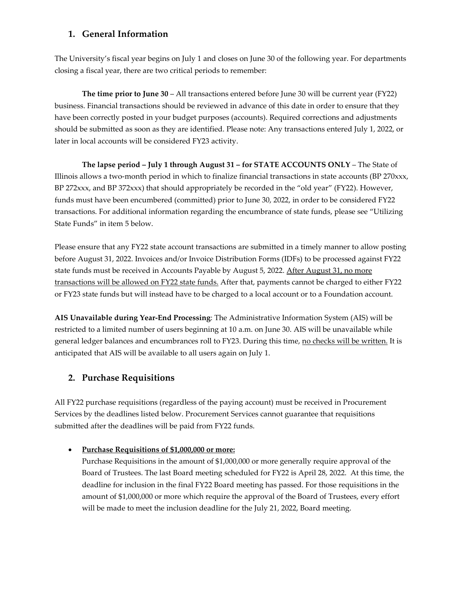### **1. General Information**

The University's fiscal year begins on July 1 and closes on June 30 of the following year. For departments closing a fiscal year, there are two critical periods to remember:

**The time prior to June 30** – All transactions entered before June 30 will be current year (FY22) business. Financial transactions should be reviewed in advance of this date in order to ensure that they have been correctly posted in your budget purposes (accounts). Required corrections and adjustments should be submitted as soon as they are identified. Please note: Any transactions entered July 1, 2022, or later in local accounts will be considered FY23 activity.

**The lapse period – July 1 through August 31 – for STATE ACCOUNTS ONLY** – The State of Illinois allows a two-month period in which to finalize financial transactions in state accounts (BP 270xxx, BP 272xxx, and BP 372xxx) that should appropriately be recorded in the "old year" (FY22). However, funds must have been encumbered (committed) prior to June 30, 2022, in order to be considered FY22 transactions. For additional information regarding the encumbrance of state funds, please see "Utilizing State Funds" in item 5 below.

Please ensure that any FY22 state account transactions are submitted in a timely manner to allow posting before August 31, 2022. Invoices and/or Invoice Distribution Forms (IDFs) to be processed against FY22 state funds must be received in Accounts Payable by August 5, 2022. After August 31, no more transactions will be allowed on FY22 state funds. After that, payments cannot be charged to either FY22 or FY23 state funds but will instead have to be charged to a local account or to a Foundation account.

**AIS Unavailable during Year-End Processing**: The Administrative Information System (AIS) will be restricted to a limited number of users beginning at 10 a.m. on June 30. AIS will be unavailable while general ledger balances and encumbrances roll to FY23. During this time, no checks will be written. It is anticipated that AIS will be available to all users again on July 1.

# **2. Purchase Requisitions**

All FY22 purchase requisitions (regardless of the paying account) must be received in Procurement Services by the deadlines listed below. Procurement Services cannot guarantee that requisitions submitted after the deadlines will be paid from FY22 funds.

### • **Purchase Requisitions of \$1,000,000 or more:**

Purchase Requisitions in the amount of \$1,000,000 or more generally require approval of the Board of Trustees. The last Board meeting scheduled for FY22 is April 28, 2022. At this time, the deadline for inclusion in the final FY22 Board meeting has passed. For those requisitions in the amount of \$1,000,000 or more which require the approval of the Board of Trustees, every effort will be made to meet the inclusion deadline for the July 21, 2022, Board meeting.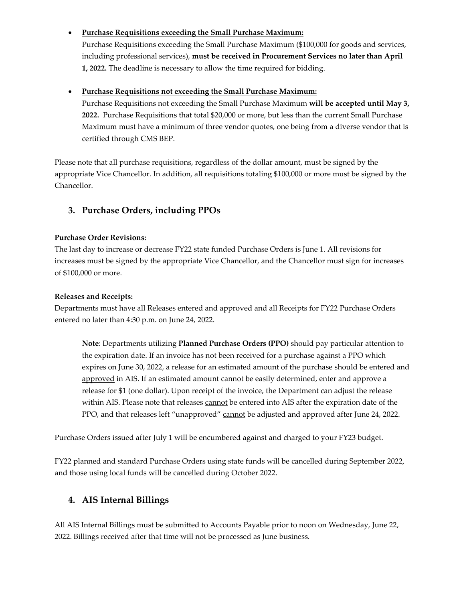• **Purchase Requisitions exceeding the Small Purchase Maximum:**

Purchase Requisitions exceeding the Small Purchase Maximum (\$100,000 for goods and services, including professional services), **must be received in Procurement Services no later than April 1, 2022.** The deadline is necessary to allow the time required for bidding.

#### • **Purchase Requisitions not exceeding the Small Purchase Maximum:**

Purchase Requisitions not exceeding the Small Purchase Maximum **will be accepted until May 3, 2022.** Purchase Requisitions that total \$20,000 or more, but less than the current Small Purchase Maximum must have a minimum of three vendor quotes, one being from a diverse vendor that is certified through CMS BEP.

Please note that all purchase requisitions, regardless of the dollar amount, must be signed by the appropriate Vice Chancellor. In addition, all requisitions totaling \$100,000 or more must be signed by the Chancellor.

### **3. Purchase Orders, including PPOs**

#### **Purchase Order Revisions:**

The last day to increase or decrease FY22 state funded Purchase Orders is June 1. All revisions for increases must be signed by the appropriate Vice Chancellor, and the Chancellor must sign for increases of \$100,000 or more.

#### **Releases and Receipts:**

Departments must have all Releases entered and approved and all Receipts for FY22 Purchase Orders entered no later than 4:30 p.m. on June 24, 2022.

**Note**: Departments utilizing **Planned Purchase Orders (PPO)** should pay particular attention to the expiration date. If an invoice has not been received for a purchase against a PPO which expires on June 30, 2022, a release for an estimated amount of the purchase should be entered and approved in AIS. If an estimated amount cannot be easily determined, enter and approve a release for \$1 (one dollar). Upon receipt of the invoice, the Department can adjust the release within AIS. Please note that releases cannot be entered into AIS after the expiration date of the PPO, and that releases left "unapproved" cannot be adjusted and approved after June 24, 2022.

Purchase Orders issued after July 1 will be encumbered against and charged to your FY23 budget.

FY22 planned and standard Purchase Orders using state funds will be cancelled during September 2022, and those using local funds will be cancelled during October 2022.

### **4. AIS Internal Billings**

All AIS Internal Billings must be submitted to Accounts Payable prior to noon on Wednesday, June 22, 2022. Billings received after that time will not be processed as June business.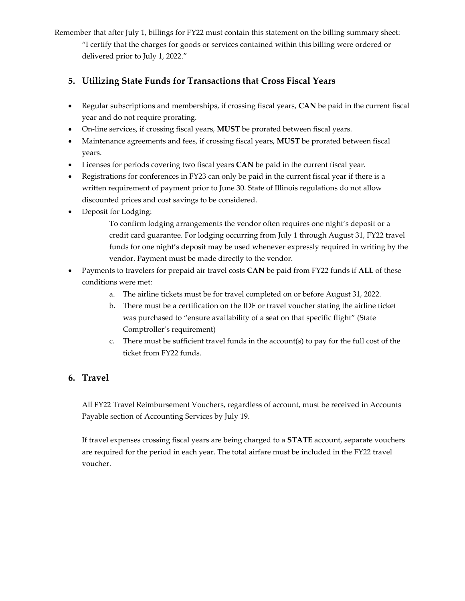Remember that after July 1, billings for FY22 must contain this statement on the billing summary sheet: "I certify that the charges for goods or services contained within this billing were ordered or delivered prior to July 1, 2022."

# **5. Utilizing State Funds for Transactions that Cross Fiscal Years**

- Regular subscriptions and memberships, if crossing fiscal years, **CAN** be paid in the current fiscal year and do not require prorating.
- On-line services, if crossing fiscal years, **MUST** be prorated between fiscal years.
- Maintenance agreements and fees, if crossing fiscal years, **MUST** be prorated between fiscal years.
- Licenses for periods covering two fiscal years **CAN** be paid in the current fiscal year.
- Registrations for conferences in FY23 can only be paid in the current fiscal year if there is a written requirement of payment prior to June 30. State of Illinois regulations do not allow discounted prices and cost savings to be considered.
- Deposit for Lodging:
	- To confirm lodging arrangements the vendor often requires one night's deposit or a credit card guarantee. For lodging occurring from July 1 through August 31, FY22 travel funds for one night's deposit may be used whenever expressly required in writing by the vendor. Payment must be made directly to the vendor.
- Payments to travelers for prepaid air travel costs **CAN** be paid from FY22 funds if **ALL** of these conditions were met:
	- a. The airline tickets must be for travel completed on or before August 31, 2022.
	- b. There must be a certification on the IDF or travel voucher stating the airline ticket was purchased to "ensure availability of a seat on that specific flight" (State Comptroller's requirement)
	- c. There must be sufficient travel funds in the account(s) to pay for the full cost of the ticket from FY22 funds.

# **6. Travel**

All FY22 Travel Reimbursement Vouchers, regardless of account, must be received in Accounts Payable section of Accounting Services by July 19.

If travel expenses crossing fiscal years are being charged to a **STATE** account, separate vouchers are required for the period in each year. The total airfare must be included in the FY22 travel voucher.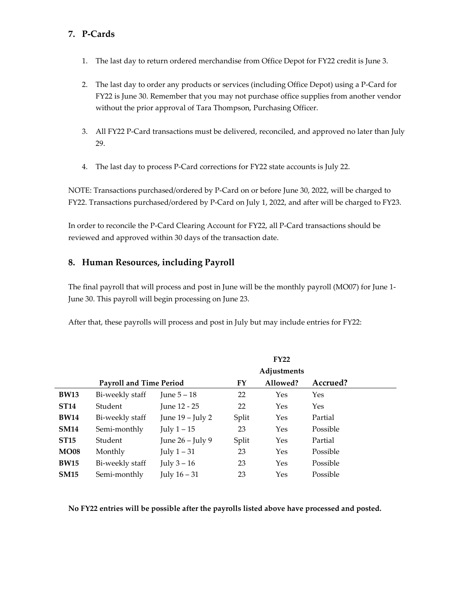## **7. P-Cards**

- 1. The last day to return ordered merchandise from Office Depot for FY22 credit is June 3.
- 2. The last day to order any products or services (including Office Depot) using a P-Card for FY22 is June 30. Remember that you may not purchase office supplies from another vendor without the prior approval of Tara Thompson, Purchasing Officer.
- 3. All FY22 P-Card transactions must be delivered, reconciled, and approved no later than July 29.
- 4. The last day to process P-Card corrections for FY22 state accounts is July 22.

NOTE: Transactions purchased/ordered by P-Card on or before June 30, 2022, will be charged to FY22. Transactions purchased/ordered by P-Card on July 1, 2022, and after will be charged to FY23.

In order to reconcile the P-Card Clearing Account for FY22, all P-Card transactions should be reviewed and approved within 30 days of the transaction date.

### **8. Human Resources, including Payroll**

The final payroll that will process and post in June will be the monthly payroll (MO07) for June 1- June 30. This payroll will begin processing on June 23.

After that, these payrolls will process and post in July but may include entries for FY22:

|             | FY22                           |                    |       |          |          |  |  |  |
|-------------|--------------------------------|--------------------|-------|----------|----------|--|--|--|
|             | Adjustments                    |                    |       |          |          |  |  |  |
|             | <b>Payroll and Time Period</b> |                    |       | Allowed? | Accrued? |  |  |  |
| <b>BW13</b> | Bi-weekly staff                | June $5-18$        | 22    | Yes      | Yes      |  |  |  |
| <b>ST14</b> | Student                        | June 12 - 25       | 22    | Yes      | Yes      |  |  |  |
| <b>BW14</b> | Bi-weekly staff                | June $19$ – July 2 | Split | Yes      | Partial  |  |  |  |
| <b>SM14</b> | Semi-monthly                   | July $1-15$        | 23    | Yes      | Possible |  |  |  |
| <b>ST15</b> | Student                        | June $26$ – July 9 | Split | Yes      | Partial  |  |  |  |
| <b>MO08</b> | Monthly                        | July $1-31$        | 23    | Yes      | Possible |  |  |  |
| <b>BW15</b> | Bi-weekly staff                | July $3-16$        | 23    | Yes      | Possible |  |  |  |
| <b>SM15</b> | Semi-monthly                   | July $16 - 31$     | 23    | Yes      | Possible |  |  |  |

**No FY22 entries will be possible after the payrolls listed above have processed and posted.**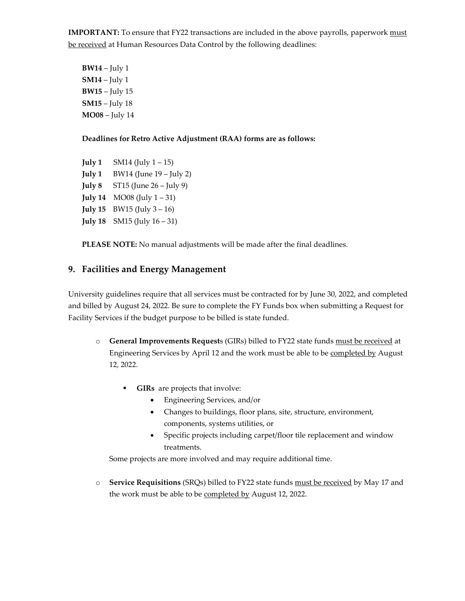**IMPORTANT:** To ensure that FY22 transactions are included in the above payrolls, paperwork must be received at Human Resources Data Control by the following deadlines:

**BW14** – July 1 **SM14** – July 1 **BW15** – July 15 **SM15** – July 18 **MO08** – July 14

#### **Deadlines for Retro Active Adjustment (RAA) forms are as follows:**

**July 1**  $\sim$  SM14 (July 1 – 15) **July 1** BW14 (June 19 – July 2) **July 8** ST15 (June 26 – July 9) **July 14** MO08 (July  $1 - 31$ ) **July 15**  $BW15$  (July  $3 - 16$ ) **July 18** SM15 (July 16 – 31)

**PLEASE NOTE:** No manual adjustments will be made after the final deadlines.

### **9. Facilities and Energy Management**

University guidelines require that all services must be contracted for by June 30, 2022, and completed and billed by August 24, 2022. Be sure to complete the FY Funds box when submitting a Request for Facility Services if the budget purpose to be billed is state funded.

- o **General Improvements Request**s (GIRs) billed to FY22 state funds must be received at Engineering Services by April 12 and the work must be able to be completed by August 12, 2022.
	- **GIRs** are projects that involve:
		- Engineering Services, and/or
		- Changes to buildings, floor plans, site, structure, environment, components, systems utilities, or
		- Specific projects including carpet/floor tile replacement and window treatments.

Some projects are more involved and may require additional time.

o **Service Requisitions** (SRQs) billed to FY22 state funds must be received by May 17 and the work must be able to be completed by August 12, 2022.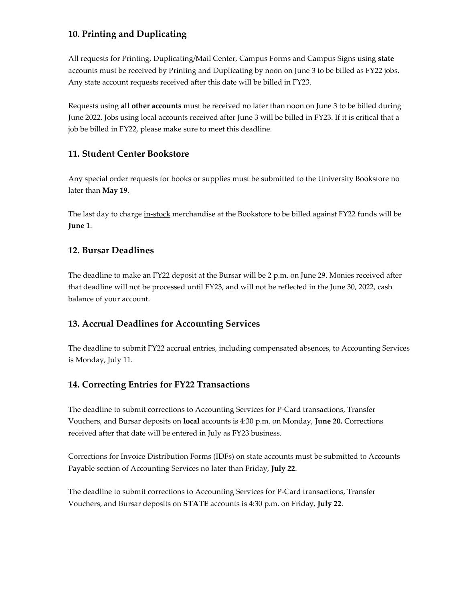# **10. Printing and Duplicating**

All requests for Printing, Duplicating/Mail Center, Campus Forms and Campus Signs using **state** accounts must be received by Printing and Duplicating by noon on June 3 to be billed as FY22 jobs. Any state account requests received after this date will be billed in FY23.

Requests using **all other accounts** must be received no later than noon on June 3 to be billed during June 2022. Jobs using local accounts received after June 3 will be billed in FY23. If it is critical that a job be billed in FY22, please make sure to meet this deadline.

# **11. Student Center Bookstore**

Any special order requests for books or supplies must be submitted to the University Bookstore no later than **May 19**.

The last day to charge in-stock merchandise at the Bookstore to be billed against FY22 funds will be **June 1**.

### **12. Bursar Deadlines**

The deadline to make an FY22 deposit at the Bursar will be 2 p.m. on June 29. Monies received after that deadline will not be processed until FY23, and will not be reflected in the June 30, 2022, cash balance of your account.

### **13. Accrual Deadlines for Accounting Services**

The deadline to submit FY22 accrual entries, including compensated absences, to Accounting Services is Monday, July 11.

### **14. Correcting Entries for FY22 Transactions**

The deadline to submit corrections to Accounting Services for P-Card transactions, Transfer Vouchers, and Bursar deposits on **local** accounts is 4:30 p.m. on Monday, **June 20.** Corrections received after that date will be entered in July as FY23 business.

Corrections for Invoice Distribution Forms (IDFs) on state accounts must be submitted to Accounts Payable section of Accounting Services no later than Friday, **July 22**.

The deadline to submit corrections to Accounting Services for P-Card transactions, Transfer Vouchers, and Bursar deposits on **STATE** accounts is 4:30 p.m. on Friday, **July 22**.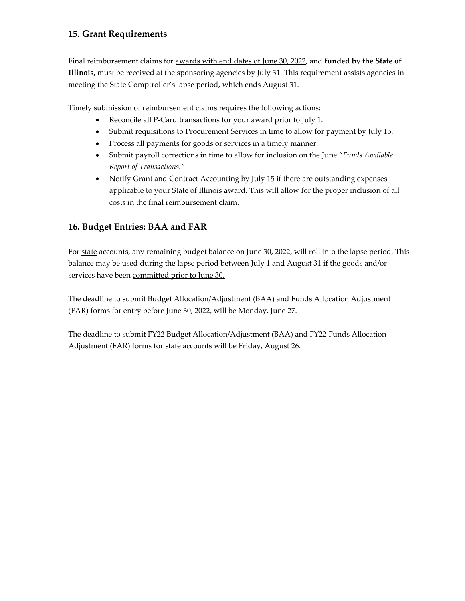# **15. Grant Requirements**

Final reimbursement claims for awards with end dates of June 30, 2022, and **funded by the State of Illinois,** must be received at the sponsoring agencies by July 31. This requirement assists agencies in meeting the State Comptroller's lapse period, which ends August 31.

Timely submission of reimbursement claims requires the following actions:

- Reconcile all P-Card transactions for your award prior to July 1.
- Submit requisitions to Procurement Services in time to allow for payment by July 15.
- Process all payments for goods or services in a timely manner.
- Submit payroll corrections in time to allow for inclusion on the June "*Funds Available Report of Transactions."*
- Notify Grant and Contract Accounting by July 15 if there are outstanding expenses applicable to your State of Illinois award. This will allow for the proper inclusion of all costs in the final reimbursement claim.

### **16. Budget Entries: BAA and FAR**

For state accounts, any remaining budget balance on June 30, 2022, will roll into the lapse period. This balance may be used during the lapse period between July 1 and August 31 if the goods and/or services have been committed prior to June 30.

The deadline to submit Budget Allocation/Adjustment (BAA) and Funds Allocation Adjustment (FAR) forms for entry before June 30, 2022, will be Monday, June 27.

The deadline to submit FY22 Budget Allocation/Adjustment (BAA) and FY22 Funds Allocation Adjustment (FAR) forms for state accounts will be Friday, August 26.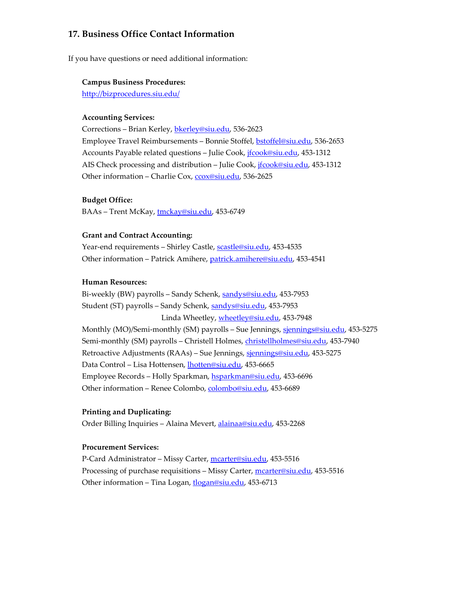### **17. Business Office Contact Information**

If you have questions or need additional information:

#### **Campus Business Procedures:**

<http://bizprocedures.siu.edu/>

#### **Accounting Services:**

Corrections – Brian Kerley, [bkerley@siu.edu,](mailto:bkerley@siu.edu) 536-2623 Employee Travel Reimbursements – Bonnie Stoffel, [bstoffel@siu.edu,](mailto:bstoffel@siu.edu) 536-2653 Accounts Payable related questions - Julie Cook, *ifcook@siu.edu*, 453-1312 AIS Check processing and distribution – Julie Cook, [jfcook@siu.edu,](mailto:jfcook@siu.edu) 453-1312 Other information – Charlie Cox[, ccox@siu.edu,](mailto:ccox@siu.edu) 536-2625

#### **Budget Office:**

BAAs – Trent McKay, [tmckay@siu.edu,](mailto:tmckay@siu.edu) 453-6749

#### **Grant and Contract Accounting:**

Year-end requirements - Shirley Castle, [scastle@siu.edu,](mailto:scastle@siu.edu) 453-4535 Other information – Patrick Amihere, [patrick.amihere@siu.edu,](mailto:patrick.amihere@siu.edu) 453-4541

#### **Human Resources:**

Bi-weekly (BW) payrolls - Sandy Schenk, [sandys@siu.edu,](mailto:sandys@siu.edu) 453-7953 Student (ST) payrolls – Sandy Schenk, [sandys@siu.edu,](mailto:sandys@siu.edu) 453-7953 Linda Wheetley, [wheetley@siu.edu,](mailto:wheetley@siu.edu) 453-7948 Monthly (MO)/Semi-monthly (SM) payrolls - Sue Jennings, [sjennings@siu.edu,](mailto:sjennings@siu.edu) 453-5275 Semi-monthly (SM) payrolls - Christell Holmes, [christellholmes@siu.edu,](mailto:christellholmes@siu.edu) 453-7940 Retroactive Adjustments (RAAs) – Sue Jennings, [sjennings@siu.edu,](mailto:sjennings@siu.edu) 453-5275 Data Control – Lisa Hottensen, [lhotten@siu.edu,](mailto:lhotten@siu.edu) 453-6665 Employee Records - Holly Sparkman[, hsparkman@siu.edu,](mailto:hsparkman@siu.edu) 453-6696 Other information - Renee Colombo, [colombo@siu.edu,](mailto:colombo@siu.edu) 453-6689

#### **Printing and Duplicating:**

Order Billing Inquiries – Alaina Mevert, [alainaa@siu.edu,](mailto:alainaa@siu.edu) 453-2268

#### **Procurement Services:**

P-Card Administrator - Missy Carter, [mcarter@siu.edu,](mailto:mcarter@siu.edu) 453-5516 Processing of purchase requisitions - Missy Carter, [mcarter@siu.edu,](mailto:mcarter@siu.edu) 453-5516 Other information – Tina Logan, [tlogan@siu.edu,](mailto:tlogan@siu.edu) 453-6713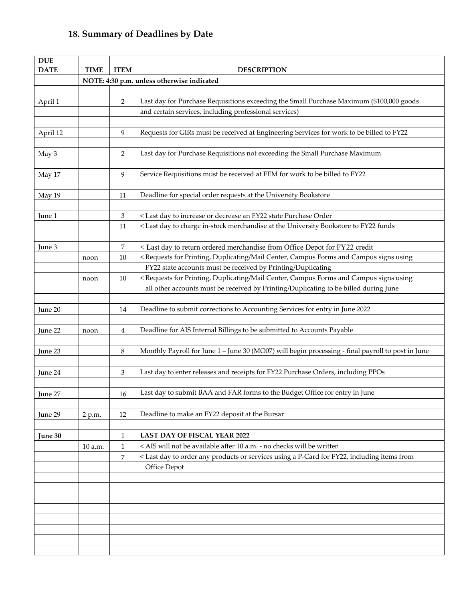# **18. Summary of Deadlines by Date**

| <b>DUE</b>       |                                            |                |                                                                                                   |  |  |  |
|------------------|--------------------------------------------|----------------|---------------------------------------------------------------------------------------------------|--|--|--|
| <b>DATE</b>      | <b>TIME</b>                                | <b>ITEM</b>    | <b>DESCRIPTION</b>                                                                                |  |  |  |
|                  | NOTE: 4:30 p.m. unless otherwise indicated |                |                                                                                                   |  |  |  |
|                  |                                            |                |                                                                                                   |  |  |  |
| April 1          |                                            | $\overline{2}$ | Last day for Purchase Requisitions exceeding the Small Purchase Maximum (\$100,000 goods          |  |  |  |
|                  |                                            |                | and certain services, including professional services)                                            |  |  |  |
|                  |                                            |                |                                                                                                   |  |  |  |
| April 12         |                                            | 9              | Requests for GIRs must be received at Engineering Services for work to be billed to FY22          |  |  |  |
|                  |                                            |                |                                                                                                   |  |  |  |
| May <sub>3</sub> |                                            | 2              | Last day for Purchase Requisitions not exceeding the Small Purchase Maximum                       |  |  |  |
|                  |                                            |                |                                                                                                   |  |  |  |
| May 17           |                                            | 9              | Service Requisitions must be received at FEM for work to be billed to FY22                        |  |  |  |
|                  |                                            |                |                                                                                                   |  |  |  |
| May 19           |                                            | 11             | Deadline for special order requests at the University Bookstore                                   |  |  |  |
|                  |                                            |                |                                                                                                   |  |  |  |
| June 1           |                                            | 3              | < Last day to increase or decrease an FY22 state Purchase Order                                   |  |  |  |
|                  |                                            | 11             | < Last day to charge in-stock merchandise at the University Bookstore to FY22 funds               |  |  |  |
|                  |                                            |                |                                                                                                   |  |  |  |
| June 3           |                                            | 7              | < Last day to return ordered merchandise from Office Depot for FY22 credit                        |  |  |  |
|                  | noon                                       | 10             | < Requests for Printing, Duplicating/Mail Center, Campus Forms and Campus signs using             |  |  |  |
|                  |                                            |                | FY22 state accounts must be received by Printing/Duplicating                                      |  |  |  |
|                  | noon                                       | 10             | < Requests for Printing, Duplicating/Mail Center, Campus Forms and Campus signs using             |  |  |  |
|                  |                                            |                | all other accounts must be received by Printing/Duplicating to be billed during June              |  |  |  |
|                  |                                            |                |                                                                                                   |  |  |  |
| June 20          |                                            | 14             | Deadline to submit corrections to Accounting Services for entry in June 2022                      |  |  |  |
|                  |                                            |                |                                                                                                   |  |  |  |
| June 22          | noon                                       | 4              | Deadline for AIS Internal Billings to be submitted to Accounts Payable                            |  |  |  |
|                  |                                            |                |                                                                                                   |  |  |  |
| June 23          |                                            | 8              | Monthly Payroll for June 1 - June 30 (MO07) will begin processing - final payroll to post in June |  |  |  |
|                  |                                            |                |                                                                                                   |  |  |  |
| June 24          |                                            | 3              | Last day to enter releases and receipts for FY22 Purchase Orders, including PPOs                  |  |  |  |
|                  |                                            |                | Last day to submit BAA and FAR forms to the Budget Office for entry in June                       |  |  |  |
| June 27          |                                            | 16             |                                                                                                   |  |  |  |
|                  |                                            |                |                                                                                                   |  |  |  |
| June 29          | 2 p.m.                                     | 12             | Deadline to make an FY22 deposit at the Bursar                                                    |  |  |  |
|                  |                                            |                |                                                                                                   |  |  |  |
| June 30          |                                            | $\mathbf{1}$   | <b>LAST DAY OF FISCAL YEAR 2022</b>                                                               |  |  |  |
|                  | 10 a.m.                                    | $\mathbf{1}$   | < AIS will not be available after 10 a.m. - no checks will be written                             |  |  |  |
|                  |                                            | $\overline{7}$ | < Last day to order any products or services using a P-Card for FY22, including items from        |  |  |  |
|                  |                                            |                | Office Depot                                                                                      |  |  |  |
|                  |                                            |                |                                                                                                   |  |  |  |
|                  |                                            |                |                                                                                                   |  |  |  |
|                  |                                            |                |                                                                                                   |  |  |  |
|                  |                                            |                |                                                                                                   |  |  |  |
|                  |                                            |                |                                                                                                   |  |  |  |
|                  |                                            |                |                                                                                                   |  |  |  |
|                  |                                            |                |                                                                                                   |  |  |  |
|                  |                                            |                |                                                                                                   |  |  |  |